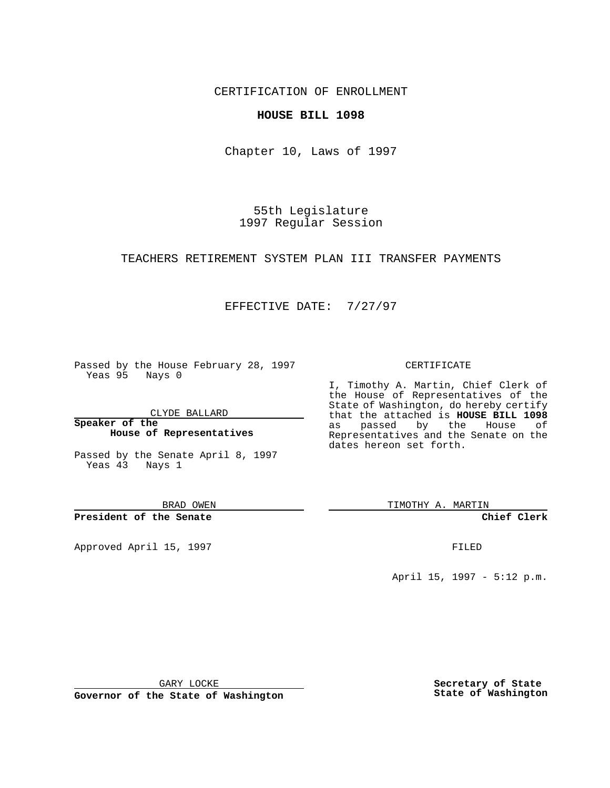CERTIFICATION OF ENROLLMENT

### **HOUSE BILL 1098**

Chapter 10, Laws of 1997

55th Legislature 1997 Regular Session

#### TEACHERS RETIREMENT SYSTEM PLAN III TRANSFER PAYMENTS

# EFFECTIVE DATE: 7/27/97

Passed by the House February 28, 1997 Yeas 95 Nays 0

CLYDE BALLARD

**Speaker of the House of Representatives**

Passed by the Senate April 8, 1997 Yeas 43 Nays 1

BRAD OWEN

**President of the Senate**

Approved April 15, 1997 **FILED** 

#### CERTIFICATE

I, Timothy A. Martin, Chief Clerk of the House of Representatives of the State of Washington, do hereby certify that the attached is **HOUSE BILL 1098** as passed by the House of Representatives and the Senate on the dates hereon set forth.

TIMOTHY A. MARTIN

**Chief Clerk**

April 15, 1997 - 5:12 p.m.

GARY LOCKE

**Governor of the State of Washington**

**Secretary of State State of Washington**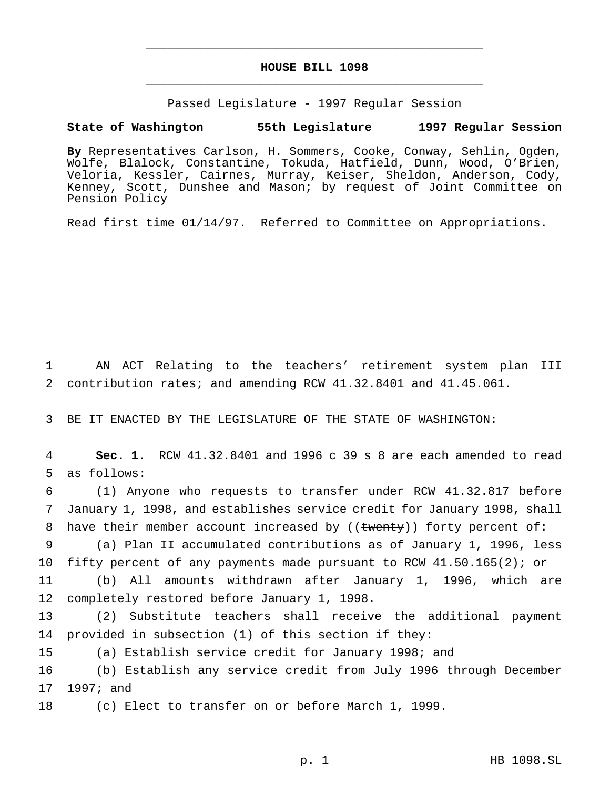# **HOUSE BILL 1098** \_\_\_\_\_\_\_\_\_\_\_\_\_\_\_\_\_\_\_\_\_\_\_\_\_\_\_\_\_\_\_\_\_\_\_\_\_\_\_\_\_\_\_\_\_\_\_

\_\_\_\_\_\_\_\_\_\_\_\_\_\_\_\_\_\_\_\_\_\_\_\_\_\_\_\_\_\_\_\_\_\_\_\_\_\_\_\_\_\_\_\_\_\_\_

Passed Legislature - 1997 Regular Session

### **State of Washington 55th Legislature 1997 Regular Session**

**By** Representatives Carlson, H. Sommers, Cooke, Conway, Sehlin, Ogden, Wolfe, Blalock, Constantine, Tokuda, Hatfield, Dunn, Wood, O'Brien, Veloria, Kessler, Cairnes, Murray, Keiser, Sheldon, Anderson, Cody, Kenney, Scott, Dunshee and Mason; by request of Joint Committee on Pension Policy

Read first time 01/14/97. Referred to Committee on Appropriations.

1 AN ACT Relating to the teachers' retirement system plan III 2 contribution rates; and amending RCW 41.32.8401 and 41.45.061.

3 BE IT ENACTED BY THE LEGISLATURE OF THE STATE OF WASHINGTON:

4 **Sec. 1.** RCW 41.32.8401 and 1996 c 39 s 8 are each amended to read 5 as follows:

6 (1) Anyone who requests to transfer under RCW 41.32.817 before 7 January 1, 1998, and establishes service credit for January 1998, shall 8 have their member account increased by  $(($   $t$  wenty) $)$  forty percent of:

9 (a) Plan II accumulated contributions as of January 1, 1996, less 10 fifty percent of any payments made pursuant to RCW 41.50.165(2); or

11 (b) All amounts withdrawn after January 1, 1996, which are 12 completely restored before January 1, 1998.

13 (2) Substitute teachers shall receive the additional payment 14 provided in subsection (1) of this section if they:

15 (a) Establish service credit for January 1998; and

16 (b) Establish any service credit from July 1996 through December 17 1997; and

18 (c) Elect to transfer on or before March 1, 1999.